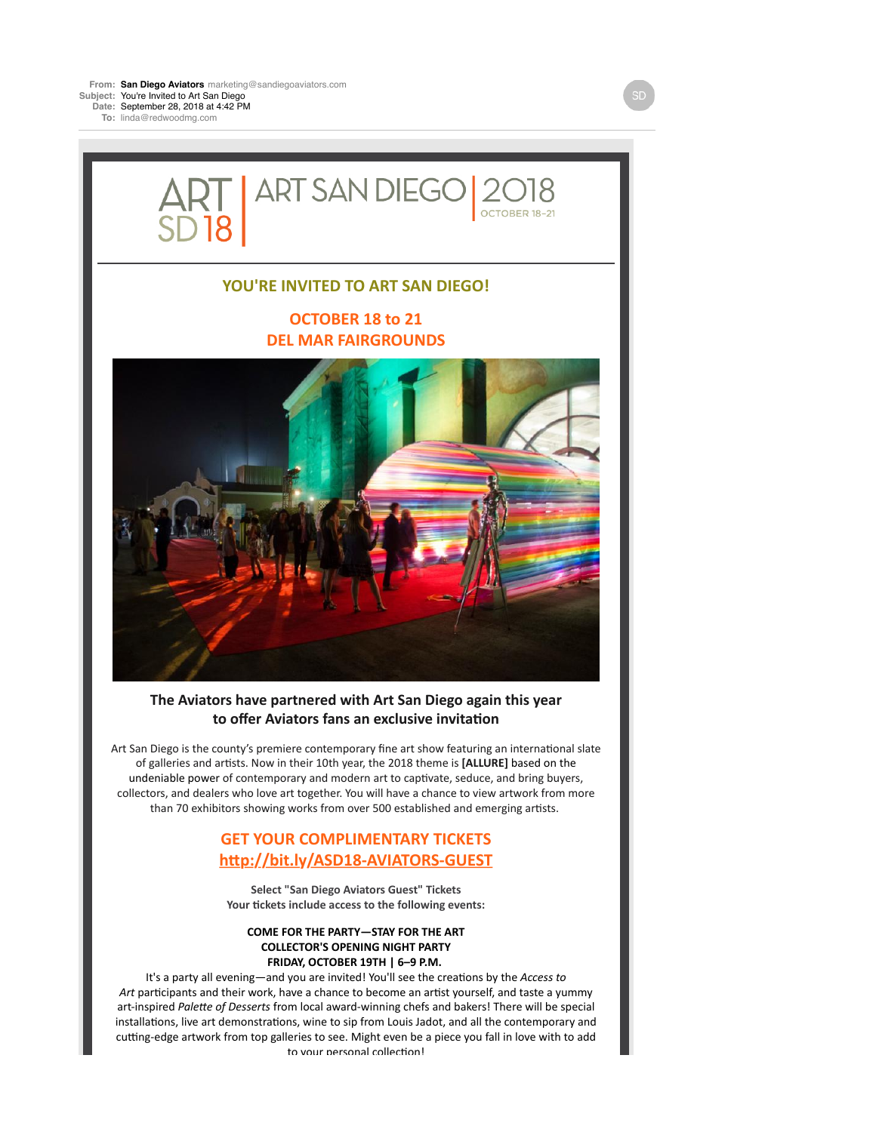**To:** linda@redwoodmg.com



## **YOU'RE INVITED TO ART SAN DIEGO!**

# **OCTOBER 18 to 21 DEL MAR FAIRGROUNDS**



## The Aviators have partnered with Art San Diego again this year to offer Aviators fans an exclusive invitation

Art San Diego is the county's premiere contemporary fine art show featuring an international slate of galleries and artists. Now in their 10th year, the 2018 theme is [ALLURE] based on the undeniable power of contemporary and modern art to captivate, seduce, and bring buyers, collectors, and dealers who love art together. You will have a chance to view artwork from more than 70 exhibitors showing works from over 500 established and emerging artists.

# **GET YOUR COMPLIMENTARY TICKETS** http://bit.ly/ASD18-AVIATORS-GUEST

**Select "San Diego Aviators Guest" Tickets** Your tickets include access to the following events:

#### **COME FOR THE PARTY-STAY FOR THE ART COLLECTOR'S OPENING NIGHT PARTY FRIDAY, OCTOBER 19TH | 6-9 P.M.**

It's a party all evening—and you are invited! You'll see the creations by the *Access to* Art participants and their work, have a chance to become an artist yourself, and taste a yummy art-inspired Palette of Desserts from local award-winning chefs and bakers! There will be special installations, live art demonstrations, wine to sip from Louis Jadot, and all the contemporary and cutting-edge artwork from top galleries to see. Might even be a piece you fall in love with to add to your nersonal collection!